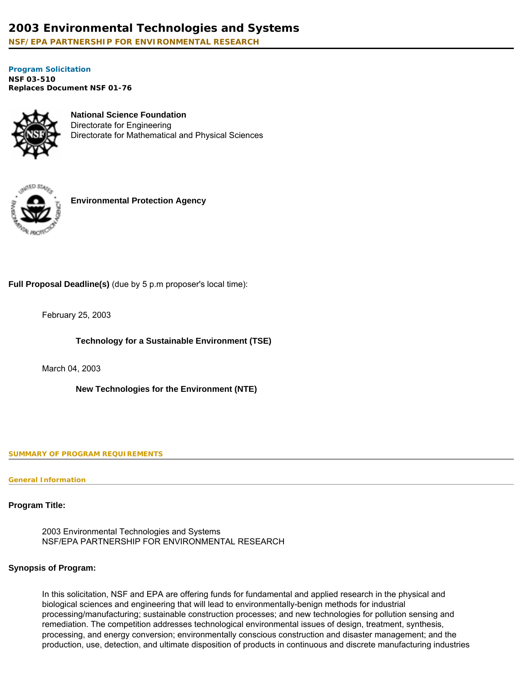# **2003 Environmental Technologies and Systems**

**NSF/EPA PARTNERSHIP FOR ENVIRONMENTAL RESEARCH**

**[Program Solicitation](#page-2-0)  NSF 03-510**  *Replaces Document NSF 01-76* 



**National Science Foundation** Directorate for Engineering Directorate for Mathematical and Physical Sciences



**Environmental Protection Agency**

**Full Proposal Deadline(s)** (due by 5 p.m proposer's local time):

February 25, 2003

**Technology for a Sustainable Environment (TSE)**

March 04, 2003

**New Technologies for the Environment (NTE)**

<span id="page-0-0"></span>**SUMMARY OF PROGRAM REQUIREMENTS**

### **General Information**

# **Program Title:**

2003 Environmental Technologies and Systems NSF/EPA PARTNERSHIP FOR ENVIRONMENTAL RESEARCH

# **Synopsis of Program:**

In this solicitation, NSF and EPA are offering funds for fundamental and applied research in the physical and biological sciences and engineering that will lead to environmentally-benign methods for industrial processing/manufacturing; sustainable construction processes; and new technologies for pollution sensing and remediation. The competition addresses technological environmental issues of design, treatment, synthesis, processing, and energy conversion; environmentally conscious construction and disaster management; and the production, use, detection, and ultimate disposition of products in continuous and discrete manufacturing industries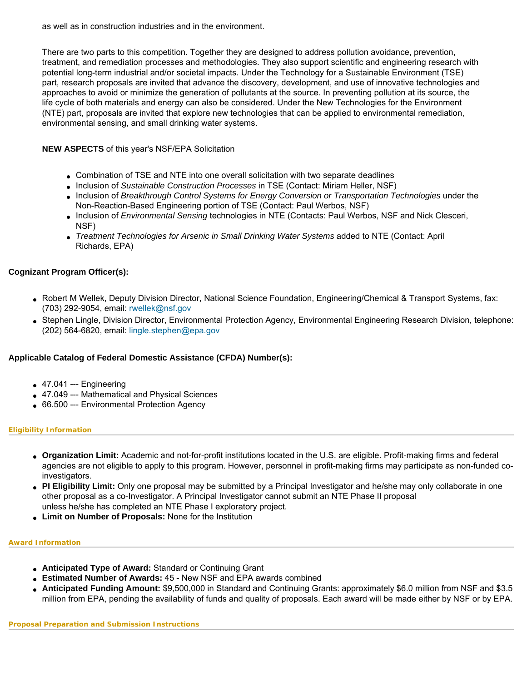as well as in construction industries and in the environment.

There are two parts to this competition. Together they are designed to address pollution avoidance, prevention, treatment, and remediation processes and methodologies. They also support scientific and engineering research with potential long-term industrial and/or societal impacts. Under the Technology for a Sustainable Environment (TSE) part, research proposals are invited that advance the discovery, development, and use of innovative technologies and approaches to avoid or minimize the generation of pollutants at the source. In preventing pollution at its source, the life cycle of both materials and energy can also be considered. Under the New Technologies for the Environment (NTE) part, proposals are invited that explore new technologies that can be applied to environmental remediation, environmental sensing, and small drinking water systems.

**NEW ASPECTS** of this year's NSF/EPA Solicitation

- Combination of TSE and NTE into one overall solicitation with two separate deadlines
- Inclusion of *Sustainable Construction Processes* in TSE (Contact: Miriam Heller, NSF)
- Inclusion of *Breakthrough Control Systems for Energy Conversion or Transportation Technologies* under the Non-Reaction-Based Engineering portion of TSE (Contact: Paul Werbos, NSF)
- Inclusion of *Environmental Sensing* technologies in NTE (Contacts: Paul Werbos, NSF and Nick Clesceri, NSF)
- *Treatment Technologies for Arsenic in Small Drinking Water Systems* added to NTE (Contact: April Richards, EPA)

# **Cognizant Program Officer(s):**

- Robert M Wellek, Deputy Division Director, National Science Foundation, Engineering/Chemical & Transport Systems, fax: (703) 292-9054, email: [rwellek@nsf.gov](mailto:rwellek@nsf.gov)
- Stephen Lingle, Division Director, Environmental Protection Agency, Environmental Engineering Research Division, telephone: (202) 564-6820, email: [lingle.stephen@epa.gov](mailto:lingle.stephen@epa.gov)

# **Applicable Catalog of Federal Domestic Assistance (CFDA) Number(s):**

- $\bullet$  47.041 --- Engineering
- 47.049 --- Mathematical and Physical Sciences
- 66.500 --- Environmental Protection Agency

### **Eligibility Information**

- **Organization Limit:** Academic and not-for-profit institutions located in the U.S. are eligible. Profit-making firms and federal agencies are not eligible to apply to this program. However, personnel in profit-making firms may participate as non-funded coinvestigators.
- **PI Eligibility Limit:** Only one proposal may be submitted by a Principal Investigator and he/she may only collaborate in one other proposal as a co-Investigator. A Principal Investigator cannot submit an NTE Phase II proposal unless he/she has completed an NTE Phase I exploratory project.
- **Limit on Number of Proposals:** None for the Institution

### **Award Information**

- **Anticipated Type of Award:** Standard or Continuing Grant
- Estimated Number of Awards: 45 New NSF and EPA awards combined
- **Anticipated Funding Amount:** \$9,500,000 in Standard and Continuing Grants: approximately \$6.0 million from NSF and \$3.5 million from EPA, pending the availability of funds and quality of proposals. Each award will be made either by NSF or by EPA.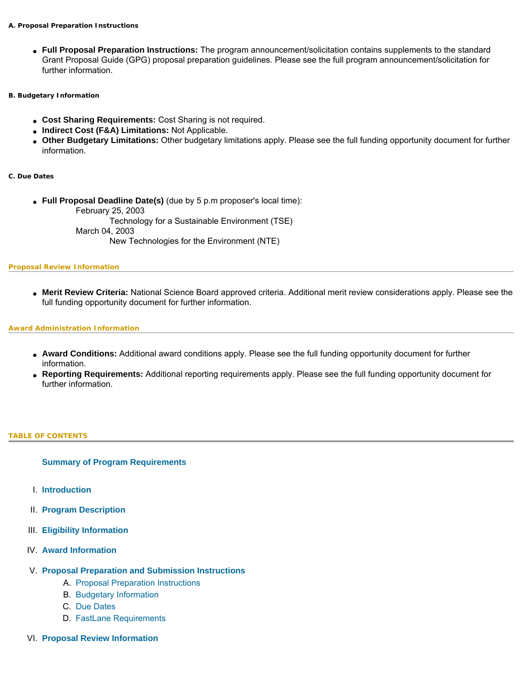#### **A. Proposal Preparation Instructions**

● **Full Proposal Preparation Instructions:** The program announcement/solicitation contains supplements to the standard Grant Proposal Guide (GPG) proposal preparation guidelines. Please see the full program announcement/solicitation for further information.

#### **B. Budgetary Information**

- **Cost Sharing Requirements:** Cost Sharing is not required.
- **Indirect Cost (F&A) Limitations:** Not Applicable.
- **Other Budgetary Limitations:** Other budgetary limitations apply. Please see the full funding opportunity document for further information.

### **C. Due Dates**

● **Full Proposal Deadline Date(s)** (due by 5 p.m proposer's local time):

February 25, 2003 Technology for a Sustainable Environment (TSE) March 04, 2003 New Technologies for the Environment (NTE)

#### **Proposal Review Information**

● **Merit Review Criteria:** National Science Board approved criteria. Additional merit review considerations apply. Please see the full funding opportunity document for further information.

#### **Award Administration Information**

- **Award Conditions:** Additional award conditions apply. Please see the full funding opportunity document for further information.
- <span id="page-2-0"></span>● **Reporting Requirements:** Additional reporting requirements apply. Please see the full funding opportunity document for further information.

### **TABLE OF CONTENTS**

# **[Summary of Program Requirements](#page-0-0)**

- I. **[Introduction](#page-3-0)**
- II. **[Program Description](#page-4-0)**
- III. **[Eligibility Information](#page-12-0)**
- IV. **[Award Information](#page-12-1)**
- V. **[Proposal Preparation and Submission Instructions](#page-13-0)**
	- A. [Proposal Preparation Instructions](#page-13-0)
	- B. [Budgetary Information](#page-15-0)
	- C. [Due Dates](#page-16-0)
	- D. [FastLane Requirements](#page-16-1)
- VI. **[Proposal Review Information](#page-16-2)**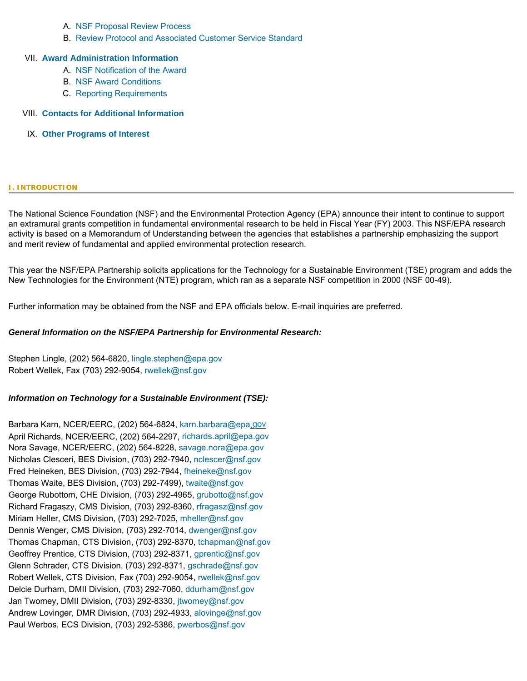- A. [NSF Proposal Review Process](#page-16-3)
- B. [Review Protocol and Associated Customer Service Standard](#page-18-0)

# VII. **[Award Administration Information](#page-19-0)**

- A. [NSF Notification of the Award](#page-19-1)
- B. [NSF Award Conditions](#page-19-2)
- C. [Reporting Requirements](#page-20-0)
- <span id="page-3-0"></span>VIII. **[Contacts for Additional Information](#page-20-1)**
	- IX. **[Other Programs of Interest](#page-21-0)**

# **I. INTRODUCTION**

The National Science Foundation (NSF) and the Environmental Protection Agency (EPA) announce their intent to continue to support an extramural grants competition in fundamental environmental research to be held in Fiscal Year (FY) 2003. This NSF/EPA research activity is based on a Memorandum of Understanding between the agencies that establishes a partnership emphasizing the support and merit review of fundamental and applied environmental protection research.

This year the NSF/EPA Partnership solicits applications for the Technology for a Sustainable Environment (TSE) program and adds the New Technologies for the Environment (NTE) program, which ran as a separate NSF competition in 2000 (NSF 00-49).

Further information may be obtained from the NSF and EPA officials below. E-mail inquiries are preferred.

# *General Information on the NSF/EPA Partnership for Environmental Research:*

Stephen Lingle, (202) 564-6820, [lingle.stephen@epa.gov](mailto:lingle.stephen@epa.gov) Robert Wellek, Fax (703) 292-9054, [rwellek@nsf.gov](mailto:rwellek@nsf.gov)

# *Information on Technology for a Sustainable Environment (TSE):*

Barbara Karn, NCER/EERC, (202) 564-6824, [karn.barbara@epa.](mailto:karn.barbara@epa.gov)gov April Richards, NCER/EERC, (202) 564-2297, [richards.april@epa.gov](mailto:richards.april@epa.gov) Nora Savage, NCER/EERC, (202) 564-8228, [savage.nora@epa.gov](mailto:savage.nora@epa.gov) Nicholas Clesceri, BES Division, (703) 292-7940, [nclescer@nsf.gov](mailto:nclescer@nsf.gov) Fred Heineken, BES Division, (703) 292-7944, [fheineke@nsf.gov](mailto:fheineke@nsf.gov) Thomas Waite, BES Division, (703) 292-7499), [twaite@nsf.gov](mailto:twaite@nsf.gov) George Rubottom, CHE Division, (703) 292-4965, [grubotto@nsf.gov](mailto:grubotto@nsf.gov) Richard Fragaszy, CMS Division, (703) 292-8360, [rfragasz@nsf.gov](mailto:rfragasz@nsf.gov) Miriam Heller, CMS Division, (703) 292-7025, [mheller@nsf.gov](mailto:mheller@nsf.gov) Dennis Wenger, CMS Division, (703) 292-7014, [dwenger@nsf.gov](mailto:dwenger@nsf.gov) Thomas Chapman, CTS Division, (703) 292-8370, [tchapman@nsf.gov](mailto:tchapman@nsf.gov) Geoffrey Prentice, CTS Division, (703) 292-8371, [gprentic@nsf.gov](mailto:gprentic@nsf.gov) Glenn Schrader, CTS Division, (703) 292-8371, [gschrade@nsf.gov](mailto:gschrade@nsf.gov) Robert Wellek, CTS Division, Fax (703) 292-9054, [rwellek@nsf.gov](mailto:rwellek@nsf.gov) Delcie Durham, DMII Division, (703) 292-7060, [ddurham@nsf.gov](mailto:ddurham@nsf.gov) Jan Twomey, DMII Division, (703) 292-8330, *itwomey@nsf.gov* Andrew Lovinger, DMR Division, (703) 292-4933, [alovinge@nsf.gov](mailto:alovinge@nsf.gov) Paul Werbos, ECS Division, (703) 292-5386, [pwerbos@nsf.gov](mailto:pwerbos@nsf.gov)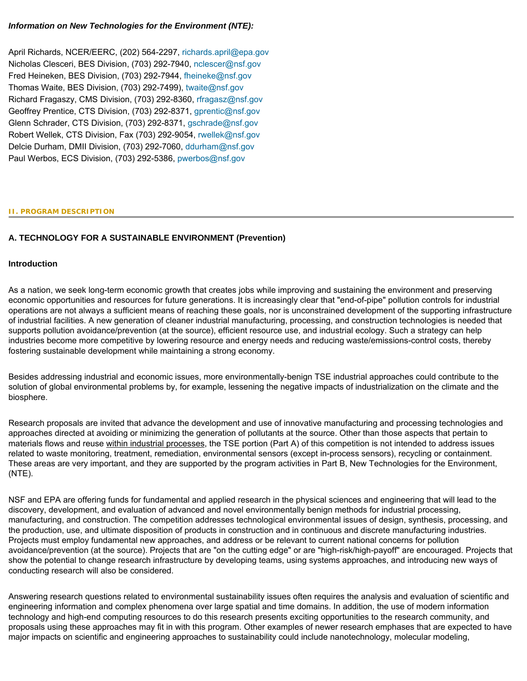# *Information on New Technologies for the Environment (NTE):*

April Richards, NCER/EERC, (202) 564-2297, [richards.april@epa.gov](mailto:richards.april@epa.gov) Nicholas Clesceri, BES Division, (703) 292-7940, [nclescer@nsf.gov](mailto:nclescer@nsf.gov) Fred Heineken, BES Division, (703) 292-7944, [fheineke@nsf.gov](mailto:fheineke@nsf.gov) Thomas Waite, BES Division, (703) 292-7499), [twaite@nsf.gov](mailto:twaite@nsf.gov) Richard Fragaszy, CMS Division, (703) 292-8360, [rfragasz@nsf.gov](mailto:rfragasz@nsf.gov) Geoffrey Prentice, CTS Division, (703) 292-8371, [gprentic@nsf.gov](mailto:gprentic@nsf.gov) Glenn Schrader, CTS Division, (703) 292-8371, [gschrade@nsf.gov](mailto:gschrade@nsf.gov) Robert Wellek, CTS Division, Fax (703) 292-9054, [rwellek@nsf.gov](mailto:rwellek@nsf.gov) Delcie Durham, DMII Division, (703) 292-7060, [ddurham@nsf.gov](mailto:ddurham@nsf.gov) Paul Werbos, ECS Division, (703) 292-5386, [pwerbos@nsf.gov](mailto:pwerbos@nsf.gov)

### <span id="page-4-0"></span>**II. PROGRAM DESCRIPTION**

# **A. TECHNOLOGY FOR A SUSTAINABLE ENVIRONMENT (Prevention)**

### **Introduction**

As a nation, we seek long-term economic growth that creates jobs while improving and sustaining the environment and preserving economic opportunities and resources for future generations. It is increasingly clear that "end-of-pipe" pollution controls for industrial operations are not always a sufficient means of reaching these goals, nor is unconstrained development of the supporting infrastructure of industrial facilities. A new generation of cleaner industrial manufacturing, processing, and construction technologies is needed that supports pollution avoidance/prevention (at the source), efficient resource use, and industrial ecology. Such a strategy can help industries become more competitive by lowering resource and energy needs and reducing waste/emissions-control costs, thereby fostering sustainable development while maintaining a strong economy.

Besides addressing industrial and economic issues, more environmentally-benign TSE industrial approaches could contribute to the solution of global environmental problems by, for example, lessening the negative impacts of industrialization on the climate and the biosphere.

Research proposals are invited that advance the development and use of innovative manufacturing and processing technologies and approaches directed at avoiding or minimizing the generation of pollutants at the source. Other than those aspects that pertain to materials flows and reuse within industrial processes, the TSE portion (Part A) of this competition is not intended to address issues related to waste monitoring, treatment, remediation, environmental sensors (except in-process sensors), recycling or containment. These areas are very important, and they are supported by the program activities in Part B, New Technologies for the Environment, (NTE).

NSF and EPA are offering funds for fundamental and applied research in the physical sciences and engineering that will lead to the discovery, development, and evaluation of advanced and novel environmentally benign methods for industrial processing, manufacturing, and construction. The competition addresses technological environmental issues of design, synthesis, processing, and the production, use, and ultimate disposition of products in construction and in continuous and discrete manufacturing industries. Projects must employ fundamental new approaches, and address or be relevant to current national concerns for pollution avoidance/prevention (at the source). Projects that are "on the cutting edge" or are "high-risk/high-payoff" are encouraged. Projects that show the potential to change research infrastructure by developing teams, using systems approaches, and introducing new ways of conducting research will also be considered.

Answering research questions related to environmental sustainability issues often requires the analysis and evaluation of scientific and engineering information and complex phenomena over large spatial and time domains. In addition, the use of modern information technology and high-end computing resources to do this research presents exciting opportunities to the research community, and proposals using these approaches may fit in with this program. Other examples of newer research emphases that are expected to have major impacts on scientific and engineering approaches to sustainability could include nanotechnology, molecular modeling,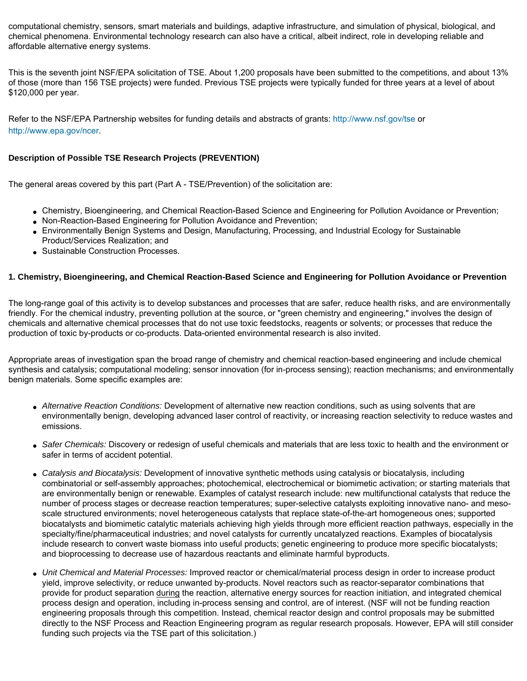computational chemistry, sensors, smart materials and buildings, adaptive infrastructure, and simulation of physical, biological, and chemical phenomena. Environmental technology research can also have a critical, albeit indirect, role in developing reliable and affordable alternative energy systems.

This is the seventh joint NSF/EPA solicitation of TSE. About 1,200 proposals have been submitted to the competitions, and about 13% of those (more than 156 TSE projects) were funded. Previous TSE projects were typically funded for three years at a level of about \$120,000 per year.

Refer to the NSF/EPA Partnership websites for funding details and abstracts of grants: <http://www.nsf.gov/tse>or [http://www.epa.gov/ncer.](http://www.epa.gov/ncer)

# **Description of Possible TSE Research Projects (PREVENTION)**

The general areas covered by this part (Part A - TSE/Prevention) of the solicitation are:

- Chemistry, Bioengineering, and Chemical Reaction-Based Science and Engineering for Pollution Avoidance or Prevention;
- Non-Reaction-Based Engineering for Pollution Avoidance and Prevention;
- Environmentally Benign Systems and Design, Manufacturing, Processing, and Industrial Ecology for Sustainable Product/Services Realization; and
- Sustainable Construction Processes.

# **1. Chemistry, Bioengineering, and Chemical Reaction-Based Science and Engineering for Pollution Avoidance or Prevention**

The long-range goal of this activity is to develop substances and processes that are safer, reduce health risks, and are environmentally friendly. For the chemical industry, preventing pollution at the source, or "green chemistry and engineering," involves the design of chemicals and alternative chemical processes that do not use toxic feedstocks, reagents or solvents; or processes that reduce the production of toxic by-products or co-products. Data-oriented environmental research is also invited.

Appropriate areas of investigation span the broad range of chemistry and chemical reaction-based engineering and include chemical synthesis and catalysis; computational modeling; sensor innovation (for in-process sensing); reaction mechanisms; and environmentally benign materials. Some specific examples are:

- *Alternative Reaction Conditions:* Development of alternative new reaction conditions, such as using solvents that are environmentally benign, developing advanced laser control of reactivity, or increasing reaction selectivity to reduce wastes and emissions.
- *Safer Chemicals:* Discovery or redesign of useful chemicals and materials that are less toxic to health and the environment or safer in terms of accident potential.
- *Catalysis and Biocatalysis:* Development of innovative synthetic methods using catalysis or biocatalysis, including combinatorial or self-assembly approaches; photochemical, electrochemical or biomimetic activation; or starting materials that are environmentally benign or renewable. Examples of catalyst research include: new multifunctional catalysts that reduce the number of process stages or decrease reaction temperatures; super-selective catalysts exploiting innovative nano- and mesoscale structured environments; novel heterogeneous catalysts that replace state-of-the-art homogeneous ones; supported biocatalysts and biomimetic catalytic materials achieving high yields through more efficient reaction pathways, especially in the specialty/fine/pharmaceutical industries; and novel catalysts for currently uncatalyzed reactions. Examples of biocatalysis include research to convert waste biomass into useful products; genetic engineering to produce more specific biocatalysts; and bioprocessing to decrease use of hazardous reactants and eliminate harmful byproducts.
- *Unit Chemical and Material Processes:* Improved reactor or chemical/material process design in order to increase product yield, improve selectivity, or reduce unwanted by-products. Novel reactors such as reactor-separator combinations that provide for product separation during the reaction, alternative energy sources for reaction initiation, and integrated chemical process design and operation, including in-process sensing and control, are of interest. (NSF will not be funding reaction engineering proposals through this competition. Instead, chemical reactor design and control proposals may be submitted directly to the NSF Process and Reaction Engineering program as regular research proposals. However, EPA will still consider funding such projects via the TSE part of this solicitation.)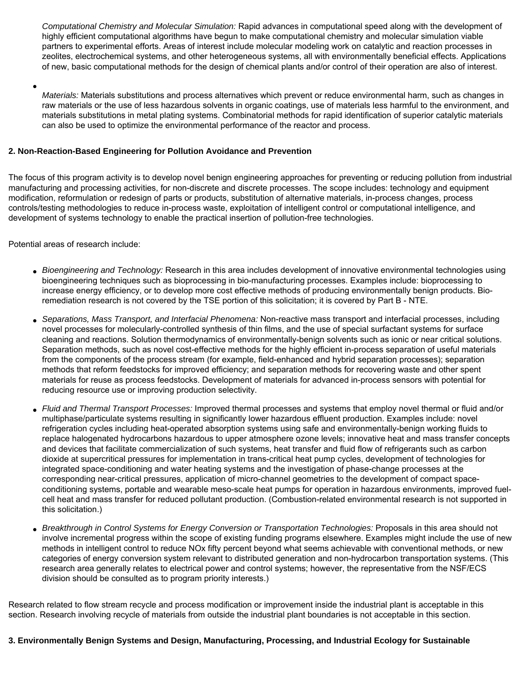*Computational Chemistry and Molecular Simulation:* Rapid advances in computational speed along with the development of highly efficient computational algorithms have begun to make computational chemistry and molecular simulation viable partners to experimental efforts. Areas of interest include molecular modeling work on catalytic and reaction processes in zeolites, electrochemical systems, and other heterogeneous systems, all with environmentally beneficial effects. Applications of new, basic computational methods for the design of chemical plants and/or control of their operation are also of interest.

● *Materials:* Materials substitutions and process alternatives which prevent or reduce environmental harm, such as changes in raw materials or the use of less hazardous solvents in organic coatings, use of materials less harmful to the environment, and materials substitutions in metal plating systems. Combinatorial methods for rapid identification of superior catalytic materials can also be used to optimize the environmental performance of the reactor and process.

# **2. Non-Reaction-Based Engineering for Pollution Avoidance and Prevention**

The focus of this program activity is to develop novel benign engineering approaches for preventing or reducing pollution from industrial manufacturing and processing activities, for non-discrete and discrete processes. The scope includes: technology and equipment modification, reformulation or redesign of parts or products, substitution of alternative materials, in-process changes, process controls/testing methodologies to reduce in-process waste, exploitation of intelligent control or computational intelligence, and development of systems technology to enable the practical insertion of pollution-free technologies.

Potential areas of research include:

- *Bioengineering and Technology:* Research in this area includes development of innovative environmental technologies using bioengineering techniques such as bioprocessing in bio-manufacturing processes. Examples include: bioprocessing to increase energy efficiency, or to develop more cost effective methods of producing environmentally benign products. Bioremediation research is not covered by the TSE portion of this solicitation; it is covered by Part B - NTE.
- *Separations, Mass Transport, and Interfacial Phenomena:* Non-reactive mass transport and interfacial processes, including novel processes for molecularly-controlled synthesis of thin films, and the use of special surfactant systems for surface cleaning and reactions. Solution thermodynamics of environmentally-benign solvents such as ionic or near critical solutions. Separation methods, such as novel cost-effective methods for the highly efficient in-process separation of useful materials from the components of the process stream (for example, field-enhanced and hybrid separation processes); separation methods that reform feedstocks for improved efficiency; and separation methods for recovering waste and other spent materials for reuse as process feedstocks. Development of materials for advanced in-process sensors with potential for reducing resource use or improving production selectivity.
- *Fluid and Thermal Transport Processes:* Improved thermal processes and systems that employ novel thermal or fluid and/or multiphase/particulate systems resulting in significantly lower hazardous effluent production. Examples include: novel refrigeration cycles including heat-operated absorption systems using safe and environmentally-benign working fluids to replace halogenated hydrocarbons hazardous to upper atmosphere ozone levels; innovative heat and mass transfer concepts and devices that facilitate commercialization of such systems, heat transfer and fluid flow of refrigerants such as carbon dioxide at supercritical pressures for implementation in trans-critical heat pump cycles, development of technologies for integrated space-conditioning and water heating systems and the investigation of phase-change processes at the corresponding near-critical pressures, application of micro-channel geometries to the development of compact spaceconditioning systems, portable and wearable meso-scale heat pumps for operation in hazardous environments, improved fuelcell heat and mass transfer for reduced pollutant production. (Combustion-related environmental research is not supported in this solicitation.)
- *Breakthrough in Control Systems for Energy Conversion or Transportation Technologies:* Proposals in this area should not involve incremental progress within the scope of existing funding programs elsewhere. Examples might include the use of new methods in intelligent control to reduce NOx fifty percent beyond what seems achievable with conventional methods, or new categories of energy conversion system relevant to distributed generation and non-hydrocarbon transportation systems. (This research area generally relates to electrical power and control systems; however, the representative from the NSF/ECS division should be consulted as to program priority interests.)

Research related to flow stream recycle and process modification or improvement inside the industrial plant is acceptable in this section. Research involving recycle of materials from outside the industrial plant boundaries is not acceptable in this section.

# **3. Environmentally Benign Systems and Design, Manufacturing, Processing, and Industrial Ecology for Sustainable**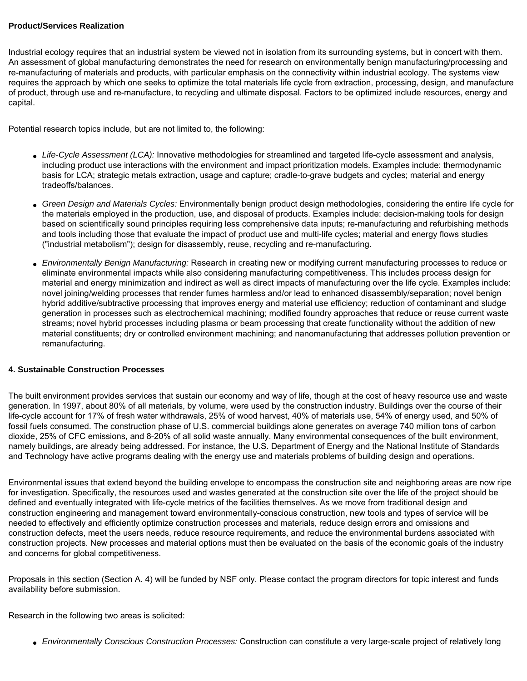# **Product/Services Realization**

Industrial ecology requires that an industrial system be viewed not in isolation from its surrounding systems, but in concert with them. An assessment of global manufacturing demonstrates the need for research on environmentally benign manufacturing/processing and re-manufacturing of materials and products, with particular emphasis on the connectivity within industrial ecology. The systems view requires the approach by which one seeks to optimize the total materials life cycle from extraction, processing, design, and manufacture of product, through use and re-manufacture, to recycling and ultimate disposal. Factors to be optimized include resources, energy and capital.

Potential research topics include, but are not limited to, the following:

- *Life-Cycle Assessment (LCA):* Innovative methodologies for streamlined and targeted life-cycle assessment and analysis, including product use interactions with the environment and impact prioritization models. Examples include: thermodynamic basis for LCA; strategic metals extraction, usage and capture; cradle-to-grave budgets and cycles; material and energy tradeoffs/balances.
- *Green Design and Materials Cycles:* Environmentally benign product design methodologies, considering the entire life cycle for the materials employed in the production, use, and disposal of products. Examples include: decision-making tools for design based on scientifically sound principles requiring less comprehensive data inputs; re-manufacturing and refurbishing methods and tools including those that evaluate the impact of product use and multi-life cycles; material and energy flows studies ("industrial metabolism"); design for disassembly, reuse, recycling and re-manufacturing.
- *Environmentally Benign Manufacturing:* Research in creating new or modifying current manufacturing processes to reduce or eliminate environmental impacts while also considering manufacturing competitiveness. This includes process design for material and energy minimization and indirect as well as direct impacts of manufacturing over the life cycle. Examples include: novel joining/welding processes that render fumes harmless and/or lead to enhanced disassembly/separation; novel benign hybrid additive/subtractive processing that improves energy and material use efficiency; reduction of contaminant and sludge generation in processes such as electrochemical machining; modified foundry approaches that reduce or reuse current waste streams; novel hybrid processes including plasma or beam processing that create functionality without the addition of new material constituents; dry or controlled environment machining; and nanomanufacturing that addresses pollution prevention or remanufacturing.

# **4. Sustainable Construction Processes**

The built environment provides services that sustain our economy and way of life, though at the cost of heavy resource use and waste generation. In 1997, about 80% of all materials, by volume, were used by the construction industry. Buildings over the course of their life-cycle account for 17% of fresh water withdrawals, 25% of wood harvest, 40% of materials use, 54% of energy used, and 50% of fossil fuels consumed. The construction phase of U.S. commercial buildings alone generates on average 740 million tons of carbon dioxide, 25% of CFC emissions, and 8-20% of all solid waste annually. Many environmental consequences of the built environment, namely buildings, are already being addressed. For instance, the U.S. Department of Energy and the National Institute of Standards and Technology have active programs dealing with the energy use and materials problems of building design and operations.

Environmental issues that extend beyond the building envelope to encompass the construction site and neighboring areas are now ripe for investigation. Specifically, the resources used and wastes generated at the construction site over the life of the project should be defined and eventually integrated with life-cycle metrics of the facilities themselves. As we move from traditional design and construction engineering and management toward environmentally-conscious construction, new tools and types of service will be needed to effectively and efficiently optimize construction processes and materials, reduce design errors and omissions and construction defects, meet the users needs, reduce resource requirements, and reduce the environmental burdens associated with construction projects. New processes and material options must then be evaluated on the basis of the economic goals of the industry and concerns for global competitiveness.

Proposals in this section (Section A. 4) will be funded by NSF only. Please contact the program directors for topic interest and funds availability before submission.

Research in the following two areas is solicited:

● *Environmentally Conscious Construction Processes:* Construction can constitute a very large-scale project of relatively long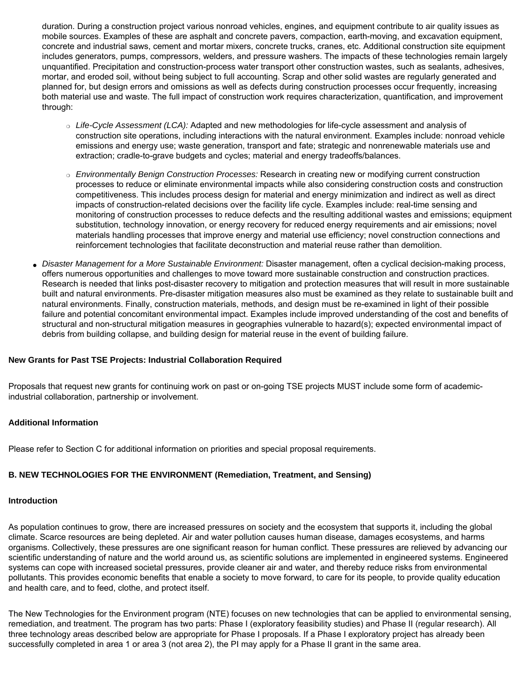duration. During a construction project various nonroad vehicles, engines, and equipment contribute to air quality issues as mobile sources. Examples of these are asphalt and concrete pavers, compaction, earth-moving, and excavation equipment, concrete and industrial saws, cement and mortar mixers, concrete trucks, cranes, etc. Additional construction site equipment includes generators, pumps, compressors, welders, and pressure washers. The impacts of these technologies remain largely unquantified. Precipitation and construction-process water transport other construction wastes, such as sealants, adhesives, mortar, and eroded soil, without being subject to full accounting. Scrap and other solid wastes are regularly generated and planned for, but design errors and omissions as well as defects during construction processes occur frequently, increasing both material use and waste. The full impact of construction work requires characterization, quantification, and improvement through:

- ❍ *Life-Cycle Assessment (LCA):* Adapted and new methodologies for life-cycle assessment and analysis of construction site operations, including interactions with the natural environment. Examples include: nonroad vehicle emissions and energy use; waste generation, transport and fate; strategic and nonrenewable materials use and extraction; cradle-to-grave budgets and cycles; material and energy tradeoffs/balances.
- ❍ *Environmentally Benign Construction Processes:* Research in creating new or modifying current construction processes to reduce or eliminate environmental impacts while also considering construction costs and construction competitiveness. This includes process design for material and energy minimization and indirect as well as direct impacts of construction-related decisions over the facility life cycle. Examples include: real-time sensing and monitoring of construction processes to reduce defects and the resulting additional wastes and emissions; equipment substitution, technology innovation, or energy recovery for reduced energy requirements and air emissions; novel materials handling processes that improve energy and material use efficiency; novel construction connections and reinforcement technologies that facilitate deconstruction and material reuse rather than demolition.
- *Disaster Management for a More Sustainable Environment:* Disaster management, often a cyclical decision-making process, offers numerous opportunities and challenges to move toward more sustainable construction and construction practices. Research is needed that links post-disaster recovery to mitigation and protection measures that will result in more sustainable built and natural environments. Pre-disaster mitigation measures also must be examined as they relate to sustainable built and natural environments. Finally, construction materials, methods, and design must be re-examined in light of their possible failure and potential concomitant environmental impact. Examples include improved understanding of the cost and benefits of structural and non-structural mitigation measures in geographies vulnerable to hazard(s); expected environmental impact of debris from building collapse, and building design for material reuse in the event of building failure.

# **New Grants for Past TSE Projects: Industrial Collaboration Required**

Proposals that request new grants for continuing work on past or on-going TSE projects MUST include some form of academicindustrial collaboration, partnership or involvement.

# **Additional Information**

Please refer to Section C for additional information on priorities and special proposal requirements.

# **B. NEW TECHNOLOGIES FOR THE ENVIRONMENT (Remediation, Treatment, and Sensing)**

# **Introduction**

As population continues to grow, there are increased pressures on society and the ecosystem that supports it, including the global climate. Scarce resources are being depleted. Air and water pollution causes human disease, damages ecosystems, and harms organisms. Collectively, these pressures are one significant reason for human conflict. These pressures are relieved by advancing our scientific understanding of nature and the world around us, as scientific solutions are implemented in engineered systems. Engineered systems can cope with increased societal pressures, provide cleaner air and water, and thereby reduce risks from environmental pollutants. This provides economic benefits that enable a society to move forward, to care for its people, to provide quality education and health care, and to feed, clothe, and protect itself.

The New Technologies for the Environment program (NTE) focuses on new technologies that can be applied to environmental sensing, remediation, and treatment. The program has two parts: Phase I (exploratory feasibility studies) and Phase II (regular research). All three technology areas described below are appropriate for Phase I proposals. If a Phase I exploratory project has already been successfully completed in area 1 or area 3 (not area 2), the PI may apply for a Phase II grant in the same area.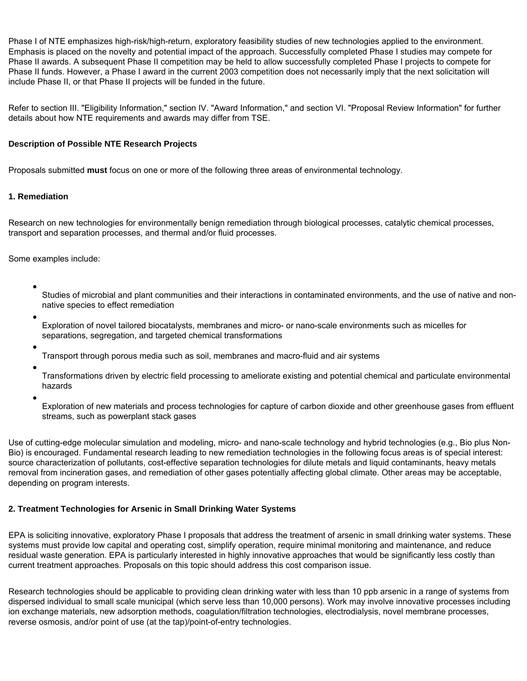Phase I of NTE emphasizes high-risk/high-return, exploratory feasibility studies of new technologies applied to the environment. Emphasis is placed on the novelty and potential impact of the approach. Successfully completed Phase I studies may compete for Phase II awards. A subsequent Phase II competition may be held to allow successfully completed Phase I projects to compete for Phase II funds. However, a Phase I award in the current 2003 competition does not necessarily imply that the next solicitation will include Phase II, or that Phase II projects will be funded in the future.

Refer to section III. "Eligibility Information," section IV. "Award Information," and section VI. "Proposal Review Information" for further details about how NTE requirements and awards may differ from TSE.

# **Description of Possible NTE Research Projects**

Proposals submitted **must** focus on one or more of the following three areas of environmental technology.

# **1. Remediation**

Research on new technologies for environmentally benign remediation through biological processes, catalytic chemical processes, transport and separation processes, and thermal and/or fluid processes.

Some examples include:

- Studies of microbial and plant communities and their interactions in contaminated environments, and the use of native and nonnative species to effect remediation
- Exploration of novel tailored biocatalysts, membranes and micro- or nano-scale environments such as micelles for separations, segregation, and targeted chemical transformations
- Transport through porous media such as soil, membranes and macro-fluid and air systems
- ●

●

●

- Transformations driven by electric field processing to ameliorate existing and potential chemical and particulate environmental hazards
- 
- Exploration of new materials and process technologies for capture of carbon dioxide and other greenhouse gases from effluent streams, such as powerplant stack gases

Use of cutting-edge molecular simulation and modeling, micro- and nano-scale technology and hybrid technologies (e.g., Bio plus Non-Bio) is encouraged. Fundamental research leading to new remediation technologies in the following focus areas is of special interest: source characterization of pollutants, cost-effective separation technologies for dilute metals and liquid contaminants, heavy metals removal from incineration gases, and remediation of other gases potentially affecting global climate. Other areas may be acceptable, depending on program interests.

# **2. Treatment Technologies for Arsenic in Small Drinking Water Systems**

EPA is soliciting innovative, exploratory Phase I proposals that address the treatment of arsenic in small drinking water systems. These systems must provide low capital and operating cost, simplify operation, require minimal monitoring and maintenance, and reduce residual waste generation. EPA is particularly interested in highly innovative approaches that would be significantly less costly than current treatment approaches. Proposals on this topic should address this cost comparison issue.

Research technologies should be applicable to providing clean drinking water with less than 10 ppb arsenic in a range of systems from dispersed individual to small scale municipal (which serve less than 10,000 persons). Work may involve innovative processes including ion exchange materials, new adsorption methods, coagulation/filtration technologies, electrodialysis, novel membrane processes, reverse osmosis, and/or point of use (at the tap)/point-of-entry technologies.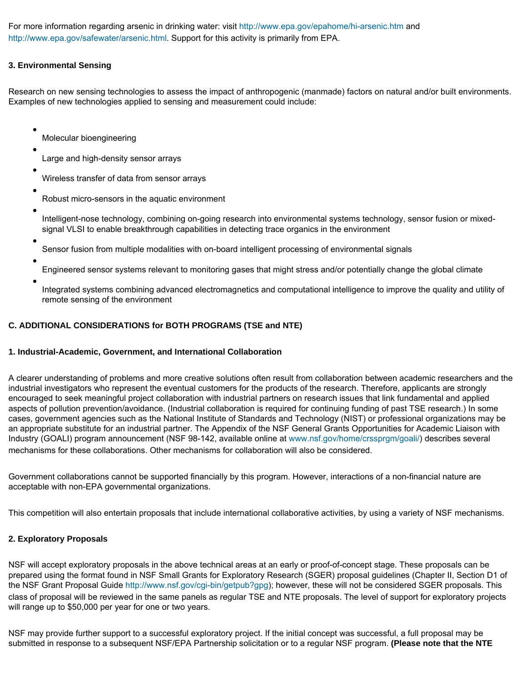For more information regarding arsenic in drinking water: visit<http://www.epa.gov/epahome/hi-arsenic.htm> and [http://www.epa.gov/safewater/arsenic.html.](http://www.epa.gov/safewater/arsenic.html) Support for this activity is primarily from EPA.

# **3. Environmental Sensing**

●

●

●

●

●

Research on new sensing technologies to assess the impact of anthropogenic (manmade) factors on natural and/or built environments. Examples of new technologies applied to sensing and measurement could include:

- Molecular bioengineering
- Large and high-density sensor arrays
- Wireless transfer of data from sensor arrays
- Robust micro-sensors in the aquatic environment

Intelligent-nose technology, combining on-going research into environmental systems technology, sensor fusion or mixedsignal VLSI to enable breakthrough capabilities in detecting trace organics in the environment

- Sensor fusion from multiple modalities with on-board intelligent processing of environmental signals
- Engineered sensor systems relevant to monitoring gases that might stress and/or potentially change the global climate

Integrated systems combining advanced electromagnetics and computational intelligence to improve the quality and utility of remote sensing of the environment

# **C. ADDITIONAL CONSIDERATIONS for BOTH PROGRAMS (TSE and NTE)**

# **1. Industrial-Academic, Government, and International Collaboration**

A clearer understanding of problems and more creative solutions often result from collaboration between academic researchers and the industrial investigators who represent the eventual customers for the products of the research. Therefore, applicants are strongly encouraged to seek meaningful project collaboration with industrial partners on research issues that link fundamental and applied aspects of pollution prevention/avoidance. (Industrial collaboration is required for continuing funding of past TSE research.) In some cases, government agencies such as the National Institute of Standards and Technology (NIST) or professional organizations may be an appropriate substitute for an industrial partner. The Appendix of the NSF General Grants Opportunities for Academic Liaison with Industry (GOALI) program announcement (NSF 98-142, available online at [www.nsf.gov/home/crssprgm/goali/\)](http://www.nsf.gov/home/crssprgm/goali/) describes several mechanisms for these collaborations. Other mechanisms for collaboration will also be considered.

Government collaborations cannot be supported financially by this program. However, interactions of a non-financial nature are acceptable with non-EPA governmental organizations.

This competition will also entertain proposals that include international collaborative activities, by using a variety of NSF mechanisms.

# **2. Exploratory Proposals**

NSF will accept exploratory proposals in the above technical areas at an early or proof-of-concept stage. These proposals can be prepared using the format found in NSF Small Grants for Exploratory Research (SGER) proposal guidelines (Chapter II, Section D1 of the NSF Grant Proposal Guide [http://www.nsf.gov/cgi-bin/getpub?gpg\)](http://www.nsf.gov/cgi-bin/getpub?gpg); however, these will not be considered SGER proposals. This class of proposal will be reviewed in the same panels as regular TSE and NTE proposals. The level of support for exploratory projects will range up to \$50,000 per year for one or two years.

NSF may provide further support to a successful exploratory project. If the initial concept was successful, a full proposal may be submitted in response to a subsequent NSF/EPA Partnership solicitation or to a regular NSF program. **(Please note that the NTE**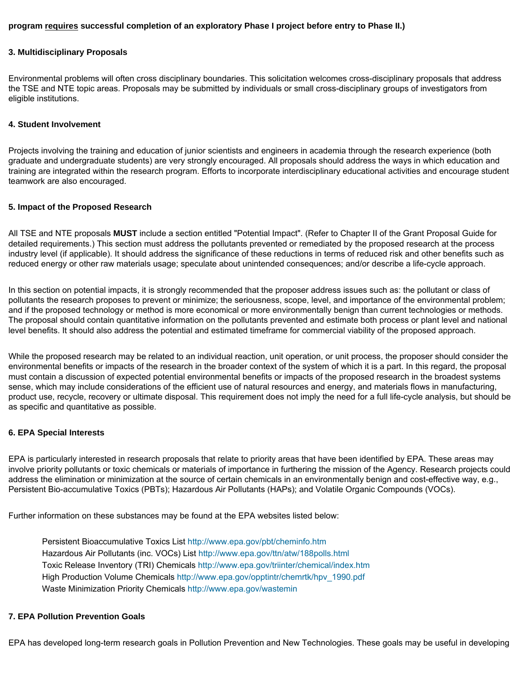# **program requires successful completion of an exploratory Phase I project before entry to Phase II.)**

# **3. Multidisciplinary Proposals**

Environmental problems will often cross disciplinary boundaries. This solicitation welcomes cross-disciplinary proposals that address the TSE and NTE topic areas. Proposals may be submitted by individuals or small cross-disciplinary groups of investigators from eligible institutions.

# **4. Student Involvement**

Projects involving the training and education of junior scientists and engineers in academia through the research experience (both graduate and undergraduate students) are very strongly encouraged. All proposals should address the ways in which education and training are integrated within the research program. Efforts to incorporate interdisciplinary educational activities and encourage student teamwork are also encouraged.

# **5. Impact of the Proposed Research**

All TSE and NTE proposals **MUST** include a section entitled "Potential Impact". (Refer to Chapter II of the Grant Proposal Guide for detailed requirements.) This section must address the pollutants prevented or remediated by the proposed research at the process industry level (if applicable). It should address the significance of these reductions in terms of reduced risk and other benefits such as reduced energy or other raw materials usage; speculate about unintended consequences; and/or describe a life-cycle approach.

In this section on potential impacts, it is strongly recommended that the proposer address issues such as: the pollutant or class of pollutants the research proposes to prevent or minimize; the seriousness, scope, level, and importance of the environmental problem; and if the proposed technology or method is more economical or more environmentally benign than current technologies or methods. The proposal should contain quantitative information on the pollutants prevented and estimate both process or plant level and national level benefits. It should also address the potential and estimated timeframe for commercial viability of the proposed approach.

While the proposed research may be related to an individual reaction, unit operation, or unit process, the proposer should consider the environmental benefits or impacts of the research in the broader context of the system of which it is a part. In this regard, the proposal must contain a discussion of expected potential environmental benefits or impacts of the proposed research in the broadest systems sense, which may include considerations of the efficient use of natural resources and energy, and materials flows in manufacturing, product use, recycle, recovery or ultimate disposal. This requirement does not imply the need for a full life-cycle analysis, but should be as specific and quantitative as possible.

# **6. EPA Special Interests**

EPA is particularly interested in research proposals that relate to priority areas that have been identified by EPA. These areas may involve priority pollutants or toxic chemicals or materials of importance in furthering the mission of the Agency. Research projects could address the elimination or minimization at the source of certain chemicals in an environmentally benign and cost-effective way, e.g., Persistent Bio-accumulative Toxics (PBTs); Hazardous Air Pollutants (HAPs); and Volatile Organic Compounds (VOCs).

Further information on these substances may be found at the EPA websites listed below:

Persistent Bioaccumulative Toxics List<http://www.epa.gov/pbt/cheminfo.htm> Hazardous Air Pollutants (inc. VOCs) List <http://www.epa.gov/ttn/atw/188polls.html> Toxic Release Inventory (TRI) Chemicals<http://www.epa.gov/triinter/chemical/index.htm> High Production Volume Chemicals [http://www.epa.gov/opptintr/chemrtk/hpv\\_1990.pdf](http://www.epa.gov/opptintr/chemrtk/hpv_1990.pdf) Waste Minimization Priority Chemicals<http://www.epa.gov/wastemin>

# **7. EPA Pollution Prevention Goals**

EPA has developed long-term research goals in Pollution Prevention and New Technologies. These goals may be useful in developing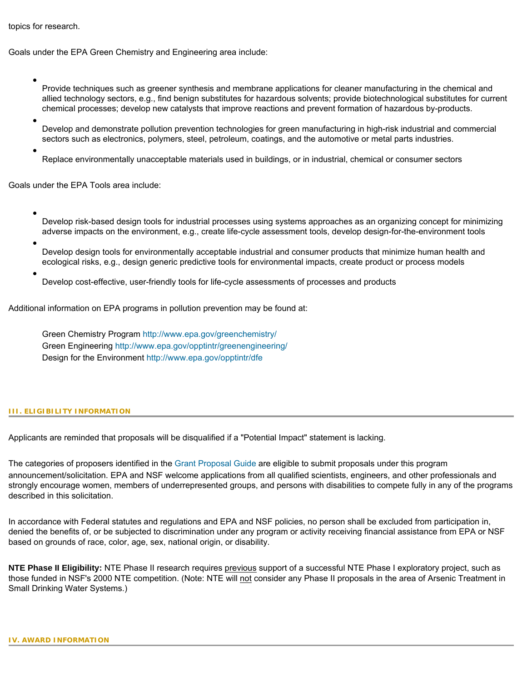●

●

●

●

Goals under the EPA Green Chemistry and Engineering area include:

- Provide techniques such as greener synthesis and membrane applications for cleaner manufacturing in the chemical and allied technology sectors, e.g., find benign substitutes for hazardous solvents; provide biotechnological substitutes for current chemical processes; develop new catalysts that improve reactions and prevent formation of hazardous by-products.
- Develop and demonstrate pollution prevention technologies for green manufacturing in high-risk industrial and commercial sectors such as electronics, polymers, steel, petroleum, coatings, and the automotive or metal parts industries.

Replace environmentally unacceptable materials used in buildings, or in industrial, chemical or consumer sectors

Goals under the EPA Tools area include:

- Develop risk-based design tools for industrial processes using systems approaches as an organizing concept for minimizing adverse impacts on the environment, e.g., create life-cycle assessment tools, develop design-for-the-environment tools
- Develop design tools for environmentally acceptable industrial and consumer products that minimize human health and ecological risks, e.g., design generic predictive tools for environmental impacts, create product or process models

Develop cost-effective, user-friendly tools for life-cycle assessments of processes and products

Additional information on EPA programs in pollution prevention may be found at:

Green Chemistry Program <http://www.epa.gov/greenchemistry/> Green Engineering <http://www.epa.gov/opptintr/greenengineering/> Design for the Environment<http://www.epa.gov/opptintr/dfe>

### <span id="page-12-0"></span>**III. ELIGIBILITY INFORMATION**

Applicants are reminded that proposals will be disqualified if a "Potential Impact" statement is lacking.

The categories of proposers identified in the [Grant Proposal Guide](http://www.nsf.gov/pubs/2001/nsf012/nsf0102_1.html#whomaysubmit) are eligible to submit proposals under this program announcement/solicitation. EPA and NSF welcome applications from all qualified scientists, engineers, and other professionals and strongly encourage women, members of underrepresented groups, and persons with disabilities to compete fully in any of the programs described in this solicitation.

In accordance with Federal statutes and regulations and EPA and NSF policies, no person shall be excluded from participation in, denied the benefits of, or be subjected to discrimination under any program or activity receiving financial assistance from EPA or NSF based on grounds of race, color, age, sex, national origin, or disability.

<span id="page-12-1"></span>**NTE Phase II Eligibility:** NTE Phase II research requires previous support of a successful NTE Phase I exploratory project, such as those funded in NSF's 2000 NTE competition. (Note: NTE will not consider any Phase II proposals in the area of Arsenic Treatment in Small Drinking Water Systems.)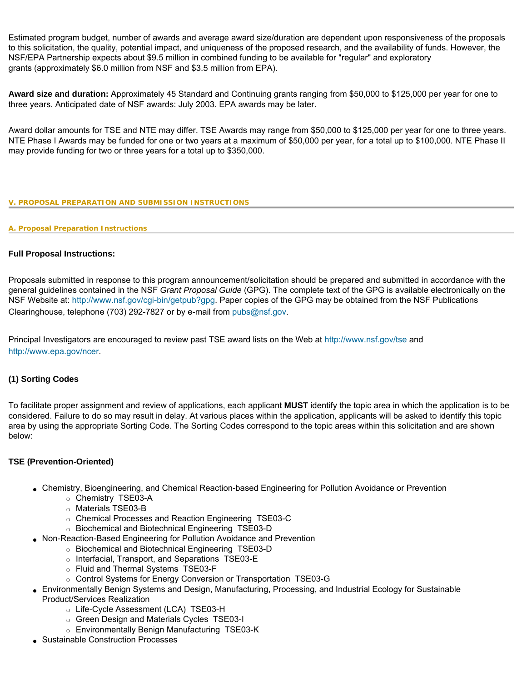Estimated program budget, number of awards and average award size/duration are dependent upon responsiveness of the proposals to this solicitation, the quality, potential impact, and uniqueness of the proposed research, and the availability of funds. However, the NSF/EPA Partnership expects about \$9.5 million in combined funding to be available for "regular" and exploratory grants (approximately \$6.0 million from NSF and \$3.5 million from EPA).

**Award size and duration:** Approximately 45 Standard and Continuing grants ranging from \$50,000 to \$125,000 per year for one to three years. Anticipated date of NSF awards: July 2003. EPA awards may be later.

<span id="page-13-0"></span>Award dollar amounts for TSE and NTE may differ. TSE Awards may range from \$50,000 to \$125,000 per year for one to three years. NTE Phase I Awards may be funded for one or two years at a maximum of \$50,000 per year, for a total up to \$100,000. NTE Phase II may provide funding for two or three years for a total up to \$350,000.

### **V. PROPOSAL PREPARATION AND SUBMISSION INSTRUCTIONS**

### **A. Proposal Preparation Instructions**

### **Full Proposal Instructions:**

Proposals submitted in response to this program announcement/solicitation should be prepared and submitted in accordance with the general guidelines contained in the NSF *Grant Proposal Guide* (GPG). The complete text of the GPG is available electronically on the NSF Website at: [http://www.nsf.gov/cgi-bin/getpub?gpg.](http://www.nsf.gov/cgi-bin/getpub?gpg) Paper copies of the GPG may be obtained from the NSF Publications Clearinghouse, telephone (703) 292-7827 or by e-mail from [pubs@nsf.gov.](mailto:pubs@nsf.gov)

Principal Investigators are encouraged to review past TSE award lists on the Web at<http://www.nsf.gov/tse>and [http://www.epa.gov/ncer.](http://www.epa.gov/ncer)

# **(1) Sorting Codes**

To facilitate proper assignment and review of applications, each applicant **MUST** identify the topic area in which the application is to be considered. Failure to do so may result in delay. At various places within the application, applicants will be asked to identify this topic area by using the appropriate Sorting Code. The Sorting Codes correspond to the topic areas within this solicitation and are shown below:

# **TSE (Prevention-Oriented)**

- Chemistry, Bioengineering, and Chemical Reaction-based Engineering for Pollution Avoidance or Prevention
	- ❍ Chemistry TSE03-A
	- ❍ Materials TSE03-B
	- ❍ Chemical Processes and Reaction Engineering TSE03-C
	- ❍ Biochemical and Biotechnical Engineering TSE03-D
- Non-Reaction-Based Engineering for Pollution Avoidance and Prevention
	- ❍ Biochemical and Biotechnical Engineering TSE03-D
		- ❍ Interfacial, Transport, and Separations TSE03-E
		- ❍ Fluid and Thermal Systems TSE03-F
	- ❍ Control Systems for Energy Conversion or Transportation TSE03-G
- Environmentally Benign Systems and Design, Manufacturing, Processing, and Industrial Ecology for Sustainable Product/Services Realization
	- ❍ Life-Cycle Assessment (LCA) TSE03-H
	- ❍ Green Design and Materials Cycles TSE03-I
	- ❍ Environmentally Benign Manufacturing TSE03-K
- Sustainable Construction Processes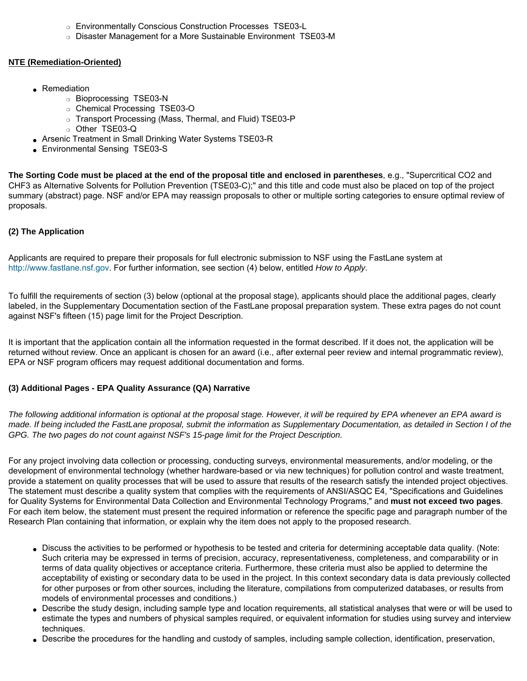- ❍ Environmentally Conscious Construction Processes TSE03-L
- ❍ Disaster Management for a More Sustainable Environment TSE03-M

# **NTE (Remediation-Oriented)**

- Remediation
	- ❍ Bioprocessing TSE03-N
	- ❍ Chemical Processing TSE03-O
	- ❍ Transport Processing (Mass, Thermal, and Fluid) TSE03-P
	- ❍ Other TSE03-Q
- Arsenic Treatment in Small Drinking Water Systems TSE03-R
- Environmental Sensing TSE03-S

**The Sorting Code must be placed at the end of the proposal title and enclosed in parentheses**, e.g., "Supercritical CO2 and CHF3 as Alternative Solvents for Pollution Prevention (TSE03-C);" and this title and code must also be placed on top of the project summary (abstract) page. NSF and/or EPA may reassign proposals to other or multiple sorting categories to ensure optimal review of proposals.

# **(2) The Application**

Applicants are required to prepare their proposals for full electronic submission to NSF using the FastLane system at [http://www.fastlane.nsf.gov.](http://www.fastlane.nsf.gov/) For further information, see section (4) below, entitled *How to Apply*.

To fulfill the requirements of section (3) below (optional at the proposal stage), applicants should place the additional pages, clearly labeled, in the Supplementary Documentation section of the FastLane proposal preparation system. These extra pages do not count against NSF's fifteen (15) page limit for the Project Description.

It is important that the application contain all the information requested in the format described. If it does not, the application will be returned without review. Once an applicant is chosen for an award (i.e., after external peer review and internal programmatic review), EPA or NSF program officers may request additional documentation and forms.

# **(3) Additional Pages - EPA Quality Assurance (QA) Narrative**

*The following additional information is optional at the proposal stage. However, it will be required by EPA whenever an EPA award is made. If being included the FastLane proposal, submit the information as Supplementary Documentation, as detailed in Section I of the GPG. The two pages do not count against NSF's 15-page limit for the Project Description.*

For any project involving data collection or processing, conducting surveys, environmental measurements, and/or modeling, or the development of environmental technology (whether hardware-based or via new techniques) for pollution control and waste treatment, provide a statement on quality processes that will be used to assure that results of the research satisfy the intended project objectives. The statement must describe a quality system that complies with the requirements of ANSI/ASQC E4, "Specifications and Guidelines for Quality Systems for Environmental Data Collection and Environmental Technology Programs," and **must not exceed two pages**. For each item below, the statement must present the required information or reference the specific page and paragraph number of the Research Plan containing that information, or explain why the item does not apply to the proposed research.

- Discuss the activities to be performed or hypothesis to be tested and criteria for determining acceptable data quality. (Note: Such criteria may be expressed in terms of precision, accuracy, representativeness, completeness, and comparability or in terms of data quality objectives or acceptance criteria. Furthermore, these criteria must also be applied to determine the acceptability of existing or secondary data to be used in the project. In this context secondary data is data previously collected for other purposes or from other sources, including the literature, compilations from computerized databases, or results from models of environmental processes and conditions.)
- Describe the study design, including sample type and location requirements, all statistical analyses that were or will be used to estimate the types and numbers of physical samples required, or equivalent information for studies using survey and interview techniques.
- Describe the procedures for the handling and custody of samples, including sample collection, identification, preservation,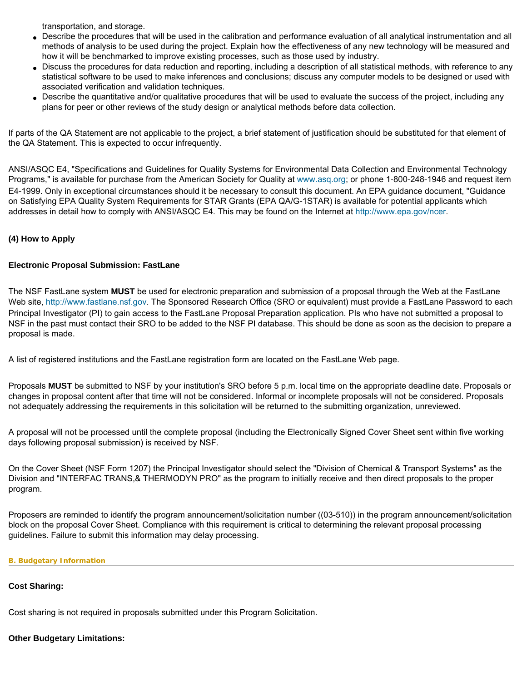transportation, and storage.

- Describe the procedures that will be used in the calibration and performance evaluation of all analytical instrumentation and all methods of analysis to be used during the project. Explain how the effectiveness of any new technology will be measured and how it will be benchmarked to improve existing processes, such as those used by industry.
- Discuss the procedures for data reduction and reporting, including a description of all statistical methods, with reference to any statistical software to be used to make inferences and conclusions; discuss any computer models to be designed or used with associated verification and validation techniques.
- Describe the quantitative and/or qualitative procedures that will be used to evaluate the success of the project, including any plans for peer or other reviews of the study design or analytical methods before data collection.

If parts of the QA Statement are not applicable to the project, a brief statement of justification should be substituted for that element of the QA Statement. This is expected to occur infrequently.

ANSI/ASQC E4, "Specifications and Guidelines for Quality Systems for Environmental Data Collection and Environmental Technology Programs," is available for purchase from the American Society for Quality at [www.asq.org;](http://www.asq.org/) or phone 1-800-248-1946 and request item E4-1999. Only in exceptional circumstances should it be necessary to consult this document. An EPA guidance document, "Guidance on Satisfying EPA Quality System Requirements for STAR Grants (EPA QA/G-1STAR) is available for potential applicants which addresses in detail how to comply with ANSI/ASQC E4. This may be found on the Internet at<http://www.epa.gov/ncer>.

# **(4) How to Apply**

# **Electronic Proposal Submission: FastLane**

The NSF FastLane system **MUST** be used for electronic preparation and submission of a proposal through the Web at the FastLane Web site, [http://www.fastlane.nsf.gov](http://www.fastlane.nsf.gov/). The Sponsored Research Office (SRO or equivalent) must provide a FastLane Password to each Principal Investigator (PI) to gain access to the FastLane Proposal Preparation application. PIs who have not submitted a proposal to NSF in the past must contact their SRO to be added to the NSF PI database. This should be done as soon as the decision to prepare a proposal is made.

A list of registered institutions and the FastLane registration form are located on the FastLane Web page.

Proposals **MUST** be submitted to NSF by your institution's SRO before 5 p.m. local time on the appropriate deadline date. Proposals or changes in proposal content after that time will not be considered. Informal or incomplete proposals will not be considered. Proposals not adequately addressing the requirements in this solicitation will be returned to the submitting organization, unreviewed.

A proposal will not be processed until the complete proposal (including the Electronically Signed Cover Sheet sent within five working days following proposal submission) is received by NSF.

On the Cover Sheet (NSF Form 1207) the Principal Investigator should select the "Division of Chemical & Transport Systems" as the Division and "INTERFAC TRANS,& THERMODYN PRO" as the program to initially receive and then direct proposals to the proper program.

Proposers are reminded to identify the program announcement/solicitation number ((03-510)) in the program announcement/solicitation block on the proposal Cover Sheet. Compliance with this requirement is critical to determining the relevant proposal processing guidelines. Failure to submit this information may delay processing.

### <span id="page-15-0"></span>**B. Budgetary Information**

# **Cost Sharing:**

Cost sharing is not required in proposals submitted under this Program Solicitation.

# **Other Budgetary Limitations:**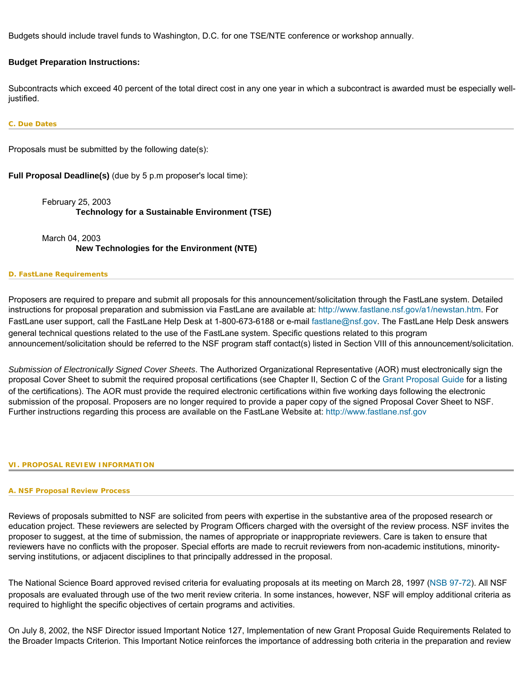Budgets should include travel funds to Washington, D.C. for one TSE/NTE conference or workshop annually.

# **Budget Preparation Instructions:**

<span id="page-16-0"></span>Subcontracts which exceed 40 percent of the total direct cost in any one year in which a subcontract is awarded must be especially welljustified.

#### **C. Due Dates**

Proposals must be submitted by the following date(s):

**Full Proposal Deadline(s)** (due by 5 p.m proposer's local time):

February 25, 2003 **Technology for a Sustainable Environment (TSE)**

March 04, 2003 **New Technologies for the Environment (NTE)**

#### <span id="page-16-1"></span>**D. FastLane Requirements**

Proposers are required to prepare and submit all proposals for this announcement/solicitation through the FastLane system. Detailed instructions for proposal preparation and submission via FastLane are available at: [http://www.fastlane.nsf.gov/a1/newstan.htm.](http://www.fastlane.nsf.gov/a1/newstan.htm) For FastLane user support, call the FastLane Help Desk at 1-800-673-6188 or e-mail [fastlane@nsf.gov](mailto:fastlane@nsf.gov). The FastLane Help Desk answers general technical questions related to the use of the FastLane system. Specific questions related to this program announcement/solicitation should be referred to the NSF program staff contact(s) listed in Section VIII of this announcement/solicitation.

*Submission of Electronically Signed Cover Sheets*. The Authorized Organizational Representative (AOR) must electronically sign the proposal Cover Sheet to submit the required proposal certifications (see Chapter II, Section C of the [Grant Proposal Guide](http://www.nsf.gov/pubsys/ods/getpub.cfm?gpg) for a listing of the certifications). The AOR must provide the required electronic certifications within five working days following the electronic submission of the proposal. Proposers are no longer required to provide a paper copy of the signed Proposal Cover Sheet to NSF. Further instructions regarding this process are available on the FastLane Website at: [http://www.fastlane.nsf.gov](http://www.fastlane.nsf.gov/)

#### <span id="page-16-3"></span><span id="page-16-2"></span>**VI. PROPOSAL REVIEW INFORMATION**

### **A. NSF Proposal Review Process**

Reviews of proposals submitted to NSF are solicited from peers with expertise in the substantive area of the proposed research or education project. These reviewers are selected by Program Officers charged with the oversight of the review process. NSF invites the proposer to suggest, at the time of submission, the names of appropriate or inappropriate reviewers. Care is taken to ensure that reviewers have no conflicts with the proposer. Special efforts are made to recruit reviewers from non-academic institutions, minorityserving institutions, or adjacent disciplines to that principally addressed in the proposal.

The National Science Board approved revised criteria for evaluating proposals at its meeting on March 28, 1997 ([NSB 97-72\)](http://www-dev.nsf.gov/pubsys/ods/getpub.cfm?nsb9772). All NSF proposals are evaluated through use of the two merit review criteria. In some instances, however, NSF will employ additional criteria as required to highlight the specific objectives of certain programs and activities.

On July 8, 2002, the NSF Director issued Important Notice 127, Implementation of new Grant Proposal Guide Requirements Related to the Broader Impacts Criterion. This Important Notice reinforces the importance of addressing both criteria in the preparation and review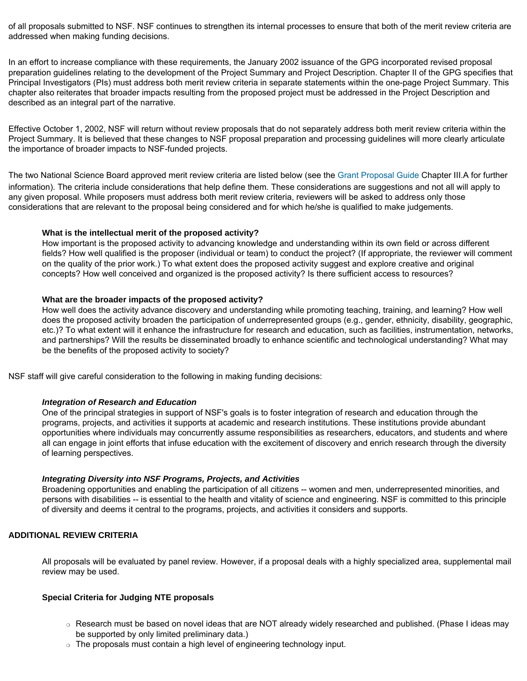of all proposals submitted to NSF. NSF continues to strengthen its internal processes to ensure that both of the merit review criteria are addressed when making funding decisions.

In an effort to increase compliance with these requirements, the January 2002 issuance of the GPG incorporated revised proposal preparation guidelines relating to the development of the Project Summary and Project Description. Chapter II of the GPG specifies that Principal Investigators (PIs) must address both merit review criteria in separate statements within the one-page Project Summary. This chapter also reiterates that broader impacts resulting from the proposed project must be addressed in the Project Description and described as an integral part of the narrative.

Effective October 1, 2002, NSF will return without review proposals that do not separately address both merit review criteria within the Project Summary. It is believed that these changes to NSF proposal preparation and processing guidelines will more clearly articulate the importance of broader impacts to NSF-funded projects.

The two National Science Board approved merit review criteria are listed below (see the [Grant Proposal Guide](http://www.nsf.gov/pubsys/ods/getpub.cfm?gpg) Chapter III.A for further information). The criteria include considerations that help define them. These considerations are suggestions and not all will apply to any given proposal. While proposers must address both merit review criteria, reviewers will be asked to address only those considerations that are relevant to the proposal being considered and for which he/she is qualified to make judgements.

# **What is the intellectual merit of the proposed activity?**

How important is the proposed activity to advancing knowledge and understanding within its own field or across different fields? How well qualified is the proposer (individual or team) to conduct the project? (If appropriate, the reviewer will comment on the quality of the prior work.) To what extent does the proposed activity suggest and explore creative and original concepts? How well conceived and organized is the proposed activity? Is there sufficient access to resources?

# **What are the broader impacts of the proposed activity?**

How well does the activity advance discovery and understanding while promoting teaching, training, and learning? How well does the proposed activity broaden the participation of underrepresented groups (e.g., gender, ethnicity, disability, geographic, etc.)? To what extent will it enhance the infrastructure for research and education, such as facilities, instrumentation, networks, and partnerships? Will the results be disseminated broadly to enhance scientific and technological understanding? What may be the benefits of the proposed activity to society?

NSF staff will give careful consideration to the following in making funding decisions:

# *Integration of Research and Education*

One of the principal strategies in support of NSF's goals is to foster integration of research and education through the programs, projects, and activities it supports at academic and research institutions. These institutions provide abundant opportunities where individuals may concurrently assume responsibilities as researchers, educators, and students and where all can engage in joint efforts that infuse education with the excitement of discovery and enrich research through the diversity of learning perspectives.

# *Integrating Diversity into NSF Programs, Projects, and Activities*

Broadening opportunities and enabling the participation of all citizens -- women and men, underrepresented minorities, and persons with disabilities -- is essential to the health and vitality of science and engineering. NSF is committed to this principle of diversity and deems it central to the programs, projects, and activities it considers and supports.

# **ADDITIONAL REVIEW CRITERIA**

All proposals will be evaluated by panel review. However, if a proposal deals with a highly specialized area, supplemental mail review may be used.

# **Special Criteria for Judging NTE proposals**

- ❍ Research must be based on novel ideas that are NOT already widely researched and published. (Phase I ideas may be supported by only limited preliminary data.)
- $\circ$  The proposals must contain a high level of engineering technology input.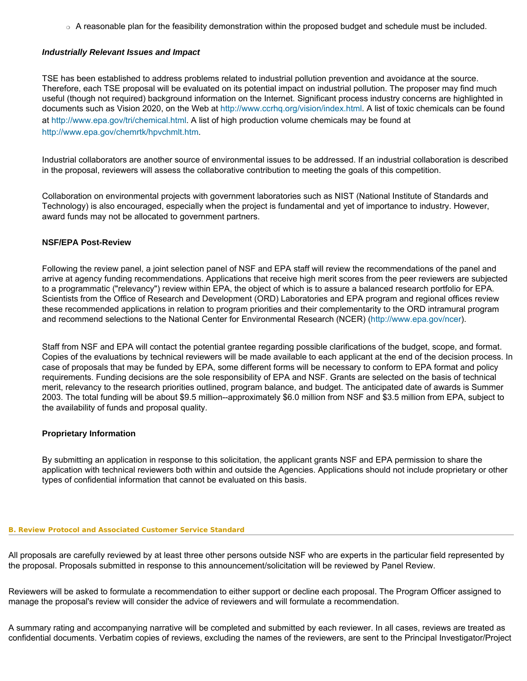$\circ$  A reasonable plan for the feasibility demonstration within the proposed budget and schedule must be included.

# *Industrially Relevant Issues and Impact*

TSE has been established to address problems related to industrial pollution prevention and avoidance at the source. Therefore, each TSE proposal will be evaluated on its potential impact on industrial pollution. The proposer may find much useful (though not required) background information on the Internet. Significant process industry concerns are highlighted in documents such as Vision 2020, on the Web at [http://www.ccrhq.org/vision/index.html.](http://www.ccrhq.org/vision/index.html) A list of toxic chemicals can be found at [http://www.epa.gov/tri/chemical.html.](http://www.epa.gov/tri/chemical.html) A list of high production volume chemicals may be found at [http://www.epa.gov/chemrtk/hpvchmlt.htm.](http://www.epa.gov/chemrtk/hpvchmlt.htm)

Industrial collaborators are another source of environmental issues to be addressed. If an industrial collaboration is described in the proposal, reviewers will assess the collaborative contribution to meeting the goals of this competition.

Collaboration on environmental projects with government laboratories such as NIST (National Institute of Standards and Technology) is also encouraged, especially when the project is fundamental and yet of importance to industry. However, award funds may not be allocated to government partners.

# **NSF/EPA Post-Review**

Following the review panel, a joint selection panel of NSF and EPA staff will review the recommendations of the panel and arrive at agency funding recommendations. Applications that receive high merit scores from the peer reviewers are subjected to a programmatic ("relevancy") review within EPA, the object of which is to assure a balanced research portfolio for EPA. Scientists from the Office of Research and Development (ORD) Laboratories and EPA program and regional offices review these recommended applications in relation to program priorities and their complementarity to the ORD intramural program and recommend selections to the National Center for Environmental Research (NCER) ([http://www.epa.gov/ncer\).](http://www.epa.gov/ncer)

Staff from NSF and EPA will contact the potential grantee regarding possible clarifications of the budget, scope, and format. Copies of the evaluations by technical reviewers will be made available to each applicant at the end of the decision process. In case of proposals that may be funded by EPA, some different forms will be necessary to conform to EPA format and policy requirements. Funding decisions are the sole responsibility of EPA and NSF. Grants are selected on the basis of technical merit, relevancy to the research priorities outlined, program balance, and budget. The anticipated date of awards is Summer 2003. The total funding will be about \$9.5 million--approximately \$6.0 million from NSF and \$3.5 million from EPA, subject to the availability of funds and proposal quality.

# **Proprietary Information**

By submitting an application in response to this solicitation, the applicant grants NSF and EPA permission to share the application with technical reviewers both within and outside the Agencies. Applications should not include proprietary or other types of confidential information that cannot be evaluated on this basis.

### <span id="page-18-0"></span>**B. Review Protocol and Associated Customer Service Standard**

All proposals are carefully reviewed by at least three other persons outside NSF who are experts in the particular field represented by the proposal. Proposals submitted in response to this announcement/solicitation will be reviewed by Panel Review.

Reviewers will be asked to formulate a recommendation to either support or decline each proposal. The Program Officer assigned to manage the proposal's review will consider the advice of reviewers and will formulate a recommendation.

A summary rating and accompanying narrative will be completed and submitted by each reviewer. In all cases, reviews are treated as confidential documents. Verbatim copies of reviews, excluding the names of the reviewers, are sent to the Principal Investigator/Project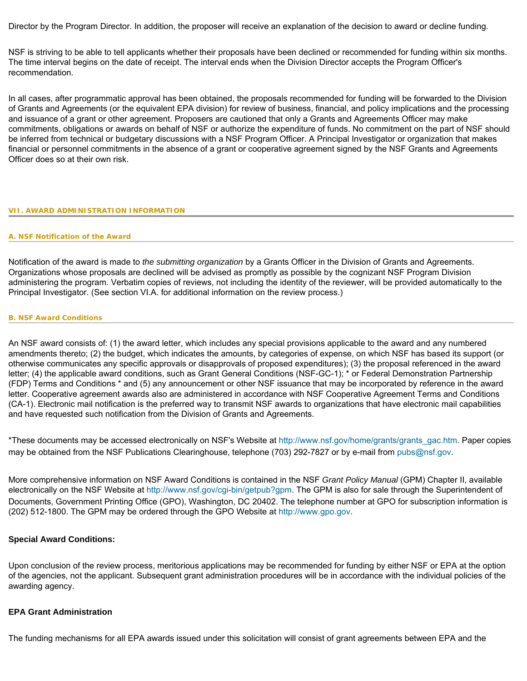Director by the Program Director. In addition, the proposer will receive an explanation of the decision to award or decline funding.

NSF is striving to be able to tell applicants whether their proposals have been declined or recommended for funding within six months. The time interval begins on the date of receipt. The interval ends when the Division Director accepts the Program Officer's recommendation.

In all cases, after programmatic approval has been obtained, the proposals recommended for funding will be forwarded to the Division of Grants and Agreements (or the equivalent EPA division) for review of business, financial, and policy implications and the processing and issuance of a grant or other agreement. Proposers are cautioned that only a Grants and Agreements Officer may make commitments, obligations or awards on behalf of NSF or authorize the expenditure of funds. No commitment on the part of NSF should be inferred from technical or budgetary discussions with a NSF Program Officer. A Principal Investigator or organization that makes financial or personnel commitments in the absence of a grant or cooperative agreement signed by the NSF Grants and Agreements Officer does so at their own risk.

#### <span id="page-19-1"></span><span id="page-19-0"></span>**VII. AWARD ADMINISTRATION INFORMATION**

#### **A. NSF Notification of the Award**

Notification of the award is made to *the submitting organization* by a Grants Officer in the Division of Grants and Agreements. Organizations whose proposals are declined will be advised as promptly as possible by the cognizant NSF Program Division administering the program. Verbatim copies of reviews, not including the identity of the reviewer, will be provided automatically to the Principal Investigator. (See section VI.A. for additional information on the review process.)

#### <span id="page-19-2"></span>**B. NSF Award Conditions**

An NSF award consists of: (1) the award letter, which includes any special provisions applicable to the award and any numbered amendments thereto; (2) the budget, which indicates the amounts, by categories of expense, on which NSF has based its support (or otherwise communicates any specific approvals or disapprovals of proposed expenditures); (3) the proposal referenced in the award letter; (4) the applicable award conditions, such as Grant General Conditions (NSF-GC-1); \* or Federal Demonstration Partnership (FDP) Terms and Conditions \* and (5) any announcement or other NSF issuance that may be incorporated by reference in the award letter. Cooperative agreement awards also are administered in accordance with NSF Cooperative Agreement Terms and Conditions (CA-1). Electronic mail notification is the preferred way to transmit NSF awards to organizations that have electronic mail capabilities and have requested such notification from the Division of Grants and Agreements.

\*These documents may be accessed electronically on NSF's Website at [http://www.nsf.gov/home/grants/grants\\_gac.htm](http://www.nsf.gov/home/grants/grants_gac.htm). Paper copies may be obtained from the NSF Publications Clearinghouse, telephone (703) 292-7827 or by e-mail from [pubs@nsf.gov](mailto:pubs@nsf.gov).

More comprehensive information on NSF Award Conditions is contained in the NSF *Grant Policy Manual* (GPM) Chapter II, available electronically on the NSF Website at<http://www.nsf.gov/cgi-bin/getpub?gpm>. The GPM is also for sale through the Superintendent of Documents, Government Printing Office (GPO), Washington, DC 20402. The telephone number at GPO for subscription information is (202) 512-1800. The GPM may be ordered through the GPO Website at [http://www.gpo.gov](http://www.gpo.gov/).

### **Special Award Conditions:**

Upon conclusion of the review process, meritorious applications may be recommended for funding by either NSF or EPA at the option of the agencies, not the applicant. Subsequent grant administration procedures will be in accordance with the individual policies of the awarding agency.

### **EPA Grant Administration**

The funding mechanisms for all EPA awards issued under this solicitation will consist of grant agreements between EPA and the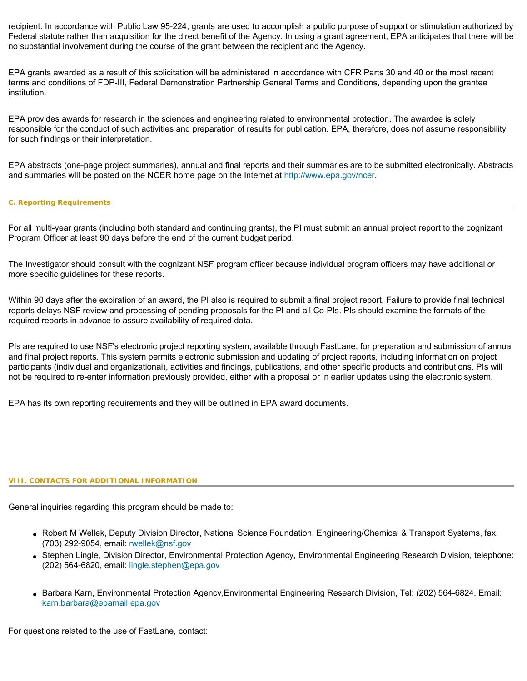recipient. In accordance with Public Law 95-224, grants are used to accomplish a public purpose of support or stimulation authorized by Federal statute rather than acquisition for the direct benefit of the Agency. In using a grant agreement, EPA anticipates that there will be no substantial involvement during the course of the grant between the recipient and the Agency.

EPA grants awarded as a result of this solicitation will be administered in accordance with CFR Parts 30 and 40 or the most recent terms and conditions of FDP-III, Federal Demonstration Partnership General Terms and Conditions, depending upon the grantee institution.

EPA provides awards for research in the sciences and engineering related to environmental protection. The awardee is solely responsible for the conduct of such activities and preparation of results for publication. EPA, therefore, does not assume responsibility for such findings or their interpretation.

<span id="page-20-0"></span>EPA abstracts (one-page project summaries), annual and final reports and their summaries are to be submitted electronically. Abstracts and summaries will be posted on the NCER home page on the Internet at<http://www.epa.gov/ncer>.

#### **C. Reporting Requirements**

For all multi-year grants (including both standard and continuing grants), the PI must submit an annual project report to the cognizant Program Officer at least 90 days before the end of the current budget period.

The Investigator should consult with the cognizant NSF program officer because individual program officers may have additional or more specific guidelines for these reports.

Within 90 days after the expiration of an award, the PI also is required to submit a final project report. Failure to provide final technical reports delays NSF review and processing of pending proposals for the PI and all Co-PIs. PIs should examine the formats of the required reports in advance to assure availability of required data.

PIs are required to use NSF's electronic project reporting system, available through FastLane, for preparation and submission of annual and final project reports. This system permits electronic submission and updating of project reports, including information on project participants (individual and organizational), activities and findings, publications, and other specific products and contributions. PIs will not be required to re-enter information previously provided, either with a proposal or in earlier updates using the electronic system.

<span id="page-20-1"></span>EPA has its own reporting requirements and they will be outlined in EPA award documents.

#### **VIII. CONTACTS FOR ADDITIONAL INFORMATION**

General inquiries regarding this program should be made to:

- Robert M Wellek, Deputy Division Director, National Science Foundation, Engineering/Chemical & Transport Systems, fax: (703) 292-9054, email: [rwellek@nsf.gov](mailto:rwellek@nsf.gov)
- Stephen Lingle, Division Director, Environmental Protection Agency, Environmental Engineering Research Division, telephone: (202) 564-6820, email: [lingle.stephen@epa.gov](mailto:lingle.stephen@epa.gov)
- Barbara Karn, Environmental Protection Agency,Environmental Engineering Research Division, Tel: (202) 564-6824, Email: [karn.barbara@epamail.epa.gov](mailto:karn.barbara@epamail.epa.gov)

For questions related to the use of FastLane, contact: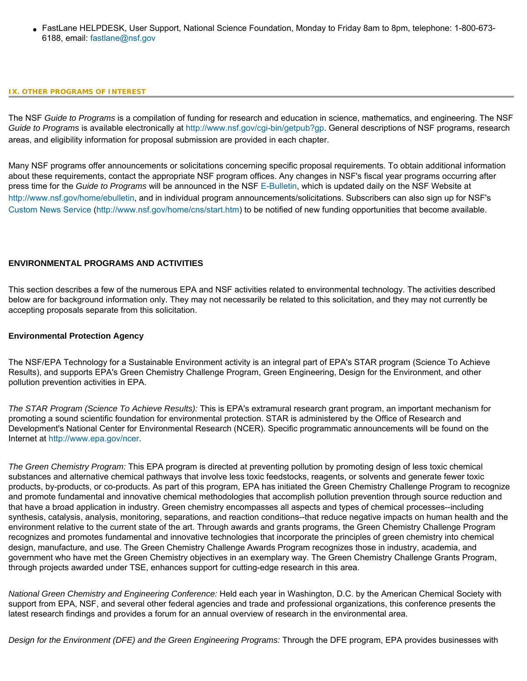<span id="page-21-0"></span>● FastLane HELPDESK, User Support, National Science Foundation, Monday to Friday 8am to 8pm, telephone: 1-800-673- 6188, email: [fastlane@nsf.gov](mailto:fastlane@nsf.gov)

#### **IX. OTHER PROGRAMS OF INTEREST**

The NSF *Guide to Programs* is a compilation of funding for research and education in science, mathematics, and engineering. The NSF *Guide to Programs* is available electronically at [http://www.nsf.gov/cgi-bin/getpub?gp.](http://www.nsf.gov/cgi-bin/getpub?gp) General descriptions of NSF programs, research areas, and eligibility information for proposal submission are provided in each chapter.

Many NSF programs offer announcements or solicitations concerning specific proposal requirements. To obtain additional information about these requirements, contact the appropriate NSF program offices. Any changes in NSF's fiscal year programs occurring after press time for the *Guide to Programs* will be announced in the NSF [E-Bulletin](http://www.nsf.gov/home/ebulletin), which is updated daily on the NSF Website at <http://www.nsf.gov/home/ebulletin>, and in individual program announcements/solicitations. Subscribers can also sign up for NSF's [Custom News Service](http://www.nsf.gov/home/cns/start.htm) [\(http://www.nsf.gov/home/cns/start.htm](http://www.nsf.gov/home/cns/start.htm)) to be notified of new funding opportunities that become available.

# **ENVIRONMENTAL PROGRAMS AND ACTIVITIES**

This section describes a few of the numerous EPA and NSF activities related to environmental technology. The activities described below are for background information only. They may not necessarily be related to this solicitation, and they may not currently be accepting proposals separate from this solicitation.

# **Environmental Protection Agency**

The NSF/EPA Technology for a Sustainable Environment activity is an integral part of EPA's STAR program (Science To Achieve Results), and supports EPA's Green Chemistry Challenge Program, Green Engineering, Design for the Environment, and other pollution prevention activities in EPA.

*The STAR Program (Science To Achieve Results):* This is EPA's extramural research grant program, an important mechanism for promoting a sound scientific foundation for environmental protection. STAR is administered by the Office of Research and Development's National Center for Environmental Research (NCER). Specific programmatic announcements will be found on the Internet at [http://www.epa.gov/ncer.](http://www.epa.gov/ncer)

*The Green Chemistry Program:* This EPA program is directed at preventing pollution by promoting design of less toxic chemical substances and alternative chemical pathways that involve less toxic feedstocks, reagents, or solvents and generate fewer toxic products, by-products, or co-products. As part of this program, EPA has initiated the Green Chemistry Challenge Program to recognize and promote fundamental and innovative chemical methodologies that accomplish pollution prevention through source reduction and that have a broad application in industry. Green chemistry encompasses all aspects and types of chemical processes--including synthesis, catalysis, analysis, monitoring, separations, and reaction conditions--that reduce negative impacts on human health and the environment relative to the current state of the art. Through awards and grants programs, the Green Chemistry Challenge Program recognizes and promotes fundamental and innovative technologies that incorporate the principles of green chemistry into chemical design, manufacture, and use. The Green Chemistry Challenge Awards Program recognizes those in industry, academia, and government who have met the Green Chemistry objectives in an exemplary way. The Green Chemistry Challenge Grants Program, through projects awarded under TSE, enhances support for cutting-edge research in this area.

*National Green Chemistry and Engineering Conference:* Held each year in Washington, D.C. by the American Chemical Society with support from EPA, NSF, and several other federal agencies and trade and professional organizations, this conference presents the latest research findings and provides a forum for an annual overview of research in the environmental area.

*Design for the Environment (DFE) and the Green Engineering Programs:* Through the DFE program, EPA provides businesses with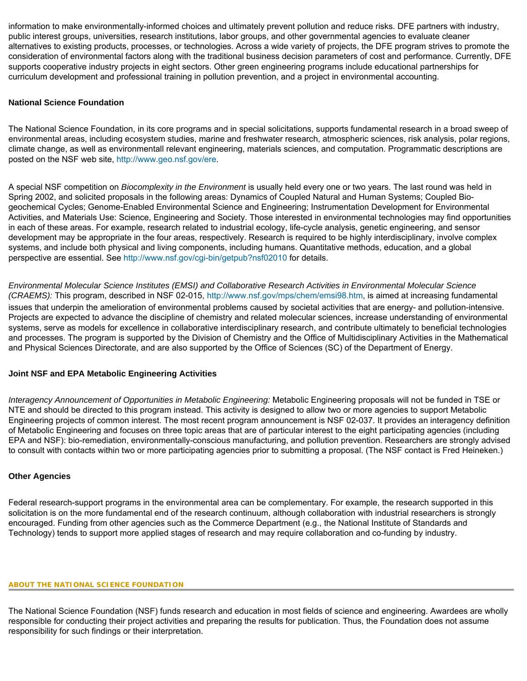information to make environmentally-informed choices and ultimately prevent pollution and reduce risks. DFE partners with industry, public interest groups, universities, research institutions, labor groups, and other governmental agencies to evaluate cleaner alternatives to existing products, processes, or technologies. Across a wide variety of projects, the DFE program strives to promote the consideration of environmental factors along with the traditional business decision parameters of cost and performance. Currently, DFE supports cooperative industry projects in eight sectors. Other green engineering programs include educational partnerships for curriculum development and professional training in pollution prevention, and a project in environmental accounting.

# **National Science Foundation**

The National Science Foundation, in its core programs and in special solicitations, supports fundamental research in a broad sweep of environmental areas, including ecosystem studies, marine and freshwater research, atmospheric sciences, risk analysis, polar regions, climate change, as well as environmentall relevant engineering, materials sciences, and computation. Programmatic descriptions are posted on the NSF web site, <http://www.geo.nsf.gov/ere>.

A special NSF competition on *Biocomplexity in the Environment* is usually held every one or two years. The last round was held in Spring 2002, and solicited proposals in the following areas: Dynamics of Coupled Natural and Human Systems; Coupled Biogeochemical Cycles; Genome-Enabled Environmental Science and Engineering; Instrumentation Development for Environmental Activities, and Materials Use: Science, Engineering and Society. Those interested in environmental technologies may find opportunities in each of these areas. For example, research related to industrial ecology, life-cycle analysis, genetic engineering, and sensor development may be appropriate in the four areas, respectively. Research is required to be highly interdisciplinary, involve complex systems, and include both physical and living components, including humans. Quantitative methods, education, and a global perspective are essential. See <http://www.nsf.gov/cgi-bin/getpub?nsf02010>for details.

*Environmental Molecular Science Institutes (EMSI) and Collaborative Research Activities in Environmental Molecular Science (CRAEMS):* This program, described in NSF 02-015, [http://www.nsf.gov/mps/chem/emsi98.htm,](http://www.nsf.gov/mps/chem/emsi98.htm) is aimed at increasing fundamental issues that underpin the amelioration of environmental problems caused by societal activities that are energy- and pollution-intensive. Projects are expected to advance the discipline of chemistry and related molecular sciences, increase understanding of environmental systems, serve as models for excellence in collaborative interdisciplinary research, and contribute ultimately to beneficial technologies and processes. The program is supported by the Division of Chemistry and the Office of Multidisciplinary Activities in the Mathematical and Physical Sciences Directorate, and are also supported by the Office of Sciences (SC) of the Department of Energy.

# **Joint NSF and EPA Metabolic Engineering Activities**

*Interagency Announcement of Opportunities in Metabolic Engineering:* Metabolic Engineering proposals will not be funded in TSE or NTE and should be directed to this program instead. This activity is designed to allow two or more agencies to support Metabolic Engineering projects of common interest. The most recent program announcement is NSF 02-037. It provides an interagency definition of Metabolic Engineering and focuses on three topic areas that are of particular interest to the eight participating agencies (including EPA and NSF): bio-remediation, environmentally-conscious manufacturing, and pollution prevention. Researchers are strongly advised to consult with contacts within two or more participating agencies prior to submitting a proposal. (The NSF contact is Fred Heineken.)

# **Other Agencies**

Federal research-support programs in the environmental area can be complementary. For example, the research supported in this solicitation is on the more fundamental end of the research continuum, although collaboration with industrial researchers is strongly encouraged. Funding from other agencies such as the Commerce Department (e.g., the National Institute of Standards and Technology) tends to support more applied stages of research and may require collaboration and co-funding by industry.

# **ABOUT THE NATIONAL SCIENCE FOUNDATION**

The National Science Foundation (NSF) funds research and education in most fields of science and engineering. Awardees are wholly responsible for conducting their project activities and preparing the results for publication. Thus, the Foundation does not assume responsibility for such findings or their interpretation.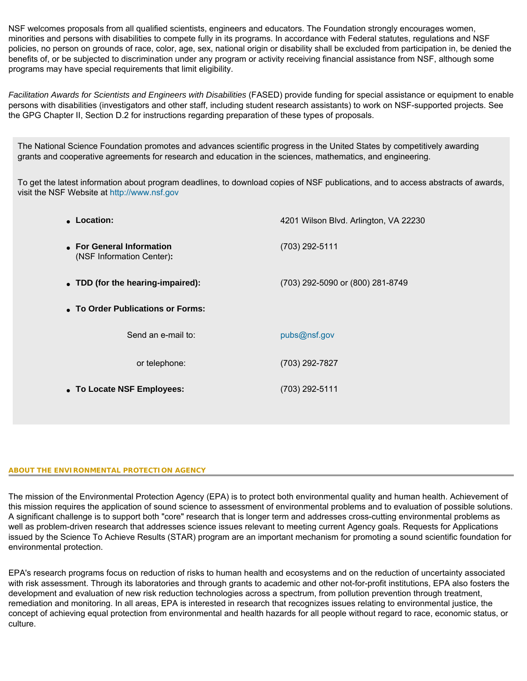NSF welcomes proposals from all qualified scientists, engineers and educators. The Foundation strongly encourages women, minorities and persons with disabilities to compete fully in its programs. In accordance with Federal statutes, regulations and NSF policies, no person on grounds of race, color, age, sex, national origin or disability shall be excluded from participation in, be denied the benefits of, or be subjected to discrimination under any program or activity receiving financial assistance from NSF, although some programs may have special requirements that limit eligibility.

*Facilitation Awards for Scientists and Engineers with Disabilities* (FASED) provide funding for special assistance or equipment to enable persons with disabilities (investigators and other staff, including student research assistants) to work on NSF-supported projects. See the GPG Chapter II, Section D.2 for instructions regarding preparation of these types of proposals.

The National Science Foundation promotes and advances scientific progress in the United States by competitively awarding grants and cooperative agreements for research and education in the sciences, mathematics, and engineering.

To get the latest information about program deadlines, to download copies of NSF publications, and to access abstracts of awards, visit the NSF Website at [http://www.nsf.gov](http://www.nsf.gov/)

| • Location:                                            | 4201 Wilson Blvd. Arlington, VA 22230 |
|--------------------------------------------------------|---------------------------------------|
| • For General Information<br>(NSF Information Center): | (703) 292-5111                        |
| • TDD (for the hearing-impaired):                      | (703) 292-5090 or (800) 281-8749      |
| • To Order Publications or Forms:                      |                                       |
| Send an e-mail to:                                     | pubs@nsf.gov                          |
| or telephone:                                          | (703) 292-7827                        |
| • To Locate NSF Employees:                             | (703) 292-5111                        |
|                                                        |                                       |

# **ABOUT THE ENVIRONMENTAL PROTECTION AGENCY**

The mission of the Environmental Protection Agency (EPA) is to protect both environmental quality and human health. Achievement of this mission requires the application of sound science to assessment of environmental problems and to evaluation of possible solutions. A significant challenge is to support both "core" research that is longer term and addresses cross-cutting environmental problems as well as problem-driven research that addresses science issues relevant to meeting current Agency goals. Requests for Applications issued by the Science To Achieve Results (STAR) program are an important mechanism for promoting a sound scientific foundation for environmental protection.

EPA's research programs focus on reduction of risks to human health and ecosystems and on the reduction of uncertainty associated with risk assessment. Through its laboratories and through grants to academic and other not-for-profit institutions, EPA also fosters the development and evaluation of new risk reduction technologies across a spectrum, from pollution prevention through treatment, remediation and monitoring. In all areas, EPA is interested in research that recognizes issues relating to environmental justice, the concept of achieving equal protection from environmental and health hazards for all people without regard to race, economic status, or culture.